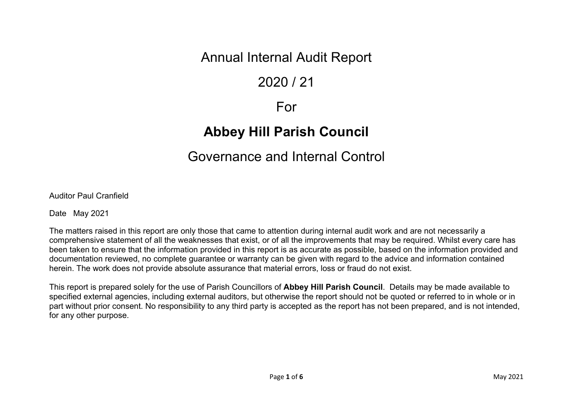## Annual Internal Audit Report

# 2020 / 21

### For

# **Abbey Hill Parish Council**

## Governance and Internal Control

Auditor Paul Cranfield

Date May 2021

The matters raised in this report are only those that came to attention during internal audit work and are not necessarily a comprehensive statement of all the weaknesses that exist, or of all the improvements that may be required. Whilst every care has been taken to ensure that the information provided in this report is as accurate as possible, based on the information provided and documentation reviewed, no complete guarantee or warranty can be given with regard to the advice and information contained herein. The work does not provide absolute assurance that material errors, loss or fraud do not exist.

This report is prepared solely for the use of Parish Councillors of **Abbey Hill Parish Council**. Details may be made available to specified external agencies, including external auditors, but otherwise the report should not be quoted or referred to in whole or in part without prior consent. No responsibility to any third party is accepted as the report has not been prepared, and is not intended, for any other purpose.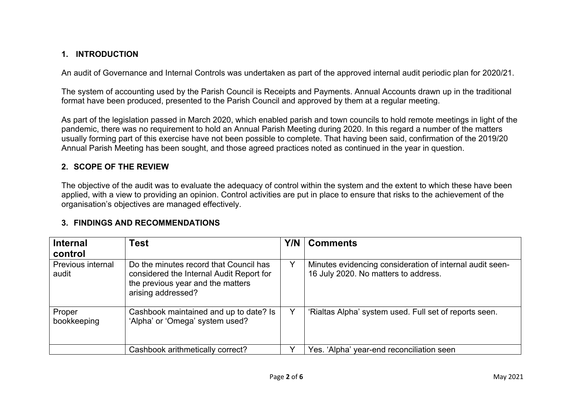#### **1. INTRODUCTION**

An audit of Governance and Internal Controls was undertaken as part of the approved internal audit periodic plan for 2020/21.

The system of accounting used by the Parish Council is Receipts and Payments. Annual Accounts drawn up in the traditional format have been produced, presented to the Parish Council and approved by them at a regular meeting.

As part of the legislation passed in March 2020, which enabled parish and town councils to hold remote meetings in light of the pandemic, there was no requirement to hold an Annual Parish Meeting during 2020. In this regard a number of the matters usually forming part of this exercise have not been possible to complete. That having been said, confirmation of the 2019/20 Annual Parish Meeting has been sought, and those agreed practices noted as continued in the year in question.

#### **2. SCOPE OF THE REVIEW**

The objective of the audit was to evaluate the adequacy of control within the system and the extent to which these have been applied, with a view to providing an opinion. Control activities are put in place to ensure that risks to the achievement of the organisation's objectives are managed effectively.

#### **3. FINDINGS AND RECOMMENDATIONS**

| <b>Internal</b>            | Test                                                                                                                                          | Y/N | <b>Comments</b>                                                                                  |
|----------------------------|-----------------------------------------------------------------------------------------------------------------------------------------------|-----|--------------------------------------------------------------------------------------------------|
| control                    |                                                                                                                                               |     |                                                                                                  |
| Previous internal<br>audit | Do the minutes record that Council has<br>considered the Internal Audit Report for<br>the previous year and the matters<br>arising addressed? | Y   | Minutes evidencing consideration of internal audit seen-<br>16 July 2020. No matters to address. |
| Proper<br>bookkeeping      | Cashbook maintained and up to date? Is<br>'Alpha' or 'Omega' system used?                                                                     |     | 'Rialtas Alpha' system used. Full set of reports seen.                                           |
|                            | Cashbook arithmetically correct?                                                                                                              |     | Yes. 'Alpha' year-end reconciliation seen                                                        |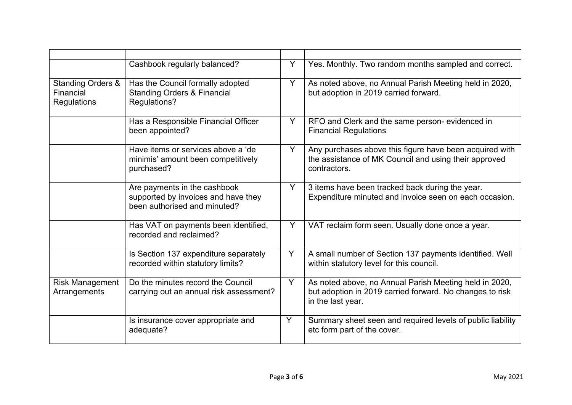|                                                          | Cashbook regularly balanced?                                                                        | Y | Yes. Monthly. Two random months sampled and correct.                                                                                    |
|----------------------------------------------------------|-----------------------------------------------------------------------------------------------------|---|-----------------------------------------------------------------------------------------------------------------------------------------|
| <b>Standing Orders &amp;</b><br>Financial<br>Regulations | Has the Council formally adopted<br><b>Standing Orders &amp; Financial</b><br>Regulations?          | Y | As noted above, no Annual Parish Meeting held in 2020,<br>but adoption in 2019 carried forward.                                         |
|                                                          | Has a Responsible Financial Officer<br>been appointed?                                              | Y | RFO and Clerk and the same person- evidenced in<br><b>Financial Regulations</b>                                                         |
|                                                          | Have items or services above a 'de<br>minimis' amount been competitively<br>purchased?              | Y | Any purchases above this figure have been acquired with<br>the assistance of MK Council and using their approved<br>contractors.        |
|                                                          | Are payments in the cashbook<br>supported by invoices and have they<br>been authorised and minuted? | Y | 3 items have been tracked back during the year.<br>Expenditure minuted and invoice seen on each occasion.                               |
|                                                          | Has VAT on payments been identified,<br>recorded and reclaimed?                                     | Y | VAT reclaim form seen. Usually done once a year.                                                                                        |
|                                                          | Is Section 137 expenditure separately<br>recorded within statutory limits?                          | Y | A small number of Section 137 payments identified. Well<br>within statutory level for this council.                                     |
| <b>Risk Management</b><br>Arrangements                   | Do the minutes record the Council<br>carrying out an annual risk assessment?                        | Y | As noted above, no Annual Parish Meeting held in 2020,<br>but adoption in 2019 carried forward. No changes to risk<br>in the last year. |
|                                                          | Is insurance cover appropriate and<br>adequate?                                                     | Y | Summary sheet seen and required levels of public liability<br>etc form part of the cover.                                               |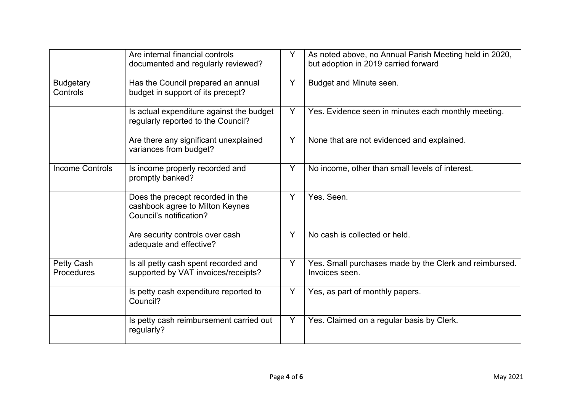|                              | Are internal financial controls<br>documented and regularly reviewed?                          | Y | As noted above, no Annual Parish Meeting held in 2020,<br>but adoption in 2019 carried forward |
|------------------------------|------------------------------------------------------------------------------------------------|---|------------------------------------------------------------------------------------------------|
| <b>Budgetary</b><br>Controls | Has the Council prepared an annual<br>budget in support of its precept?                        | Y | Budget and Minute seen.                                                                        |
|                              | Is actual expenditure against the budget<br>regularly reported to the Council?                 | Y | Yes. Evidence seen in minutes each monthly meeting.                                            |
|                              | Are there any significant unexplained<br>variances from budget?                                | Y | None that are not evidenced and explained.                                                     |
| <b>Income Controls</b>       | Is income properly recorded and<br>promptly banked?                                            | Y | No income, other than small levels of interest.                                                |
|                              | Does the precept recorded in the<br>cashbook agree to Milton Keynes<br>Council's notification? | Y | Yes. Seen.                                                                                     |
|                              | Are security controls over cash<br>adequate and effective?                                     | Y | No cash is collected or held.                                                                  |
| Petty Cash<br>Procedures     | Is all petty cash spent recorded and<br>supported by VAT invoices/receipts?                    | Y | Yes. Small purchases made by the Clerk and reimbursed.<br>Invoices seen.                       |
|                              | Is petty cash expenditure reported to<br>Council?                                              | Y | Yes, as part of monthly papers.                                                                |
|                              | Is petty cash reimbursement carried out<br>regularly?                                          | Y | Yes. Claimed on a regular basis by Clerk.                                                      |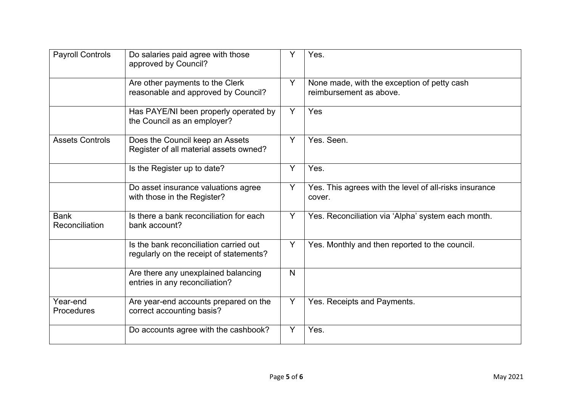| <b>Payroll Controls</b>       | Do salaries paid agree with those<br>approved by Council?                         | Y            | Yes.                                                                   |
|-------------------------------|-----------------------------------------------------------------------------------|--------------|------------------------------------------------------------------------|
|                               | Are other payments to the Clerk<br>reasonable and approved by Council?            | Y            | None made, with the exception of petty cash<br>reimbursement as above. |
|                               | Has PAYE/NI been properly operated by<br>the Council as an employer?              | Y            | Yes                                                                    |
| <b>Assets Controls</b>        | Does the Council keep an Assets<br>Register of all material assets owned?         | Y            | Yes. Seen.                                                             |
|                               | Is the Register up to date?                                                       | Y            | Yes.                                                                   |
|                               | Do asset insurance valuations agree<br>with those in the Register?                | Y            | Yes. This agrees with the level of all-risks insurance<br>cover.       |
| <b>Bank</b><br>Reconciliation | Is there a bank reconciliation for each<br>bank account?                          | Y            | Yes. Reconciliation via 'Alpha' system each month.                     |
|                               | Is the bank reconciliation carried out<br>regularly on the receipt of statements? | Y            | Yes. Monthly and then reported to the council.                         |
|                               | Are there any unexplained balancing<br>entries in any reconciliation?             | $\mathsf{N}$ |                                                                        |
| Year-end<br>Procedures        | Are year-end accounts prepared on the<br>correct accounting basis?                | Y            | Yes. Receipts and Payments.                                            |
|                               | Do accounts agree with the cashbook?                                              | Υ            | Yes.                                                                   |